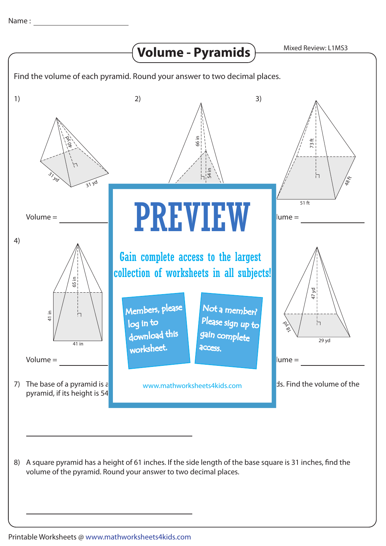